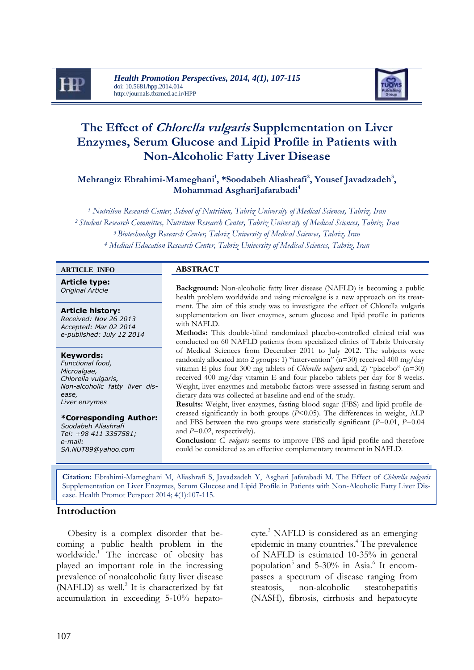



# **The Effect of Chlorella vulgaris Supplementation on Liver Enzymes, Serum Glucose and Lipid Profile in Patients with Non-Alcoholic Fatty Liver Disease**

**Mehrangiz Ebrahimi-Mameghani<sup>1</sup> , \*Soodabeh Aliashrafi<sup>2</sup> , Yousef Javadzadeh<sup>3</sup> , Mohammad AsghariJafarabadi<sup>4</sup>**

 *Nutrition Research Center, School of Nutrition, Tabriz University of Medical Sciences, Tabriz, Iran Student Research Committee, Nutrition Research Center, Tabriz University of Medical Sciences, Tabriz, Iran Biotechnology Research Center, Tabriz University of Medical Sciences, Tabriz, Iran Medical Education Research Center, Tabriz University of Medical Sciences, Tabriz, Iran*

### **ARTICLE INFO ABSTRACT**

**Article type:**

**Article history:** *Received: Nov 26 2013 Accepted: Mar 02 2014 e-published: July 12 2014*

#### **Keywords:**

*Functional food, Microalgae, Chlorella vulgaris, Non-alcoholic fatty liver disease, Liver enzymes*

**\*Corresponding Author:**  *Soodabeh Aliashrafi Tel: +98 411 3357581; e-mail:*

*[SA.NUT89@yahoo.com](mailto:SA.NUT89@yahoo.com)*

**Driginal Article Background:** Non-alcoholic fatty liver disease (NAFLD) is becoming a public health problem worldwide and using microalgae is a new approach on its treatment. The aim of this study was to investigate the effect of Chlorella vulgaris supplementation on liver enzymes, serum glucose and lipid profile in patients with NAFLD.

**Methods:** This double-blind randomized placebo-controlled clinical trial was conducted on 60 NAFLD patients from specialized clinics of Tabriz University of Medical Sciences from December 2011 to July 2012. The subjects were randomly allocated into 2 groups: 1) "intervention" (n=30) received 400 mg/day vitamin E plus four 300 mg tablets of *Chlorella vulgaris* and, 2) "placebo" (n=30) received 400 mg/day vitamin E and four placebo tablets per day for 8 weeks. Weight, liver enzymes and metabolic factors were assessed in fasting serum and dietary data was collected at baseline and end of the study.

**Results:** Weight, liver enzymes, fasting blood sugar (FBS) and lipid profile decreased significantly in both groups (*P*<0.05). The differences in weight, ALP and FBS between the two groups were statistically significant (*P*=0.01, *P*=0.04 and *P*=0.02, respectively).

**Conclusion:** *C. vulgaris* seems to improve FBS and lipid profile and therefore could be considered as an effective complementary treatment in NAFLD.

**Citation:** Ebrahimi-Mameghani M, Aliashrafi S, Javadzadeh Y, Asghari Jafarabadi M. The Effect of *Chlorella vulgaris* Supplementation on Liver Enzymes, Serum Glucose and Lipid Profile in Patients with Non-Alcoholic Fatty Liver Disease. Health Promot Perspect 2014; 4(1):107-115.

## **Introduction**

Obesity is a complex disorder that becoming a public health problem in the worldwide.<sup>1</sup> The increase of obesity has played an important role in the increasing prevalence of nonalcoholic fatty liver disease  $(NAFLD)$  as well.<sup>2</sup> It is characterized by fat accumulation in exceeding 5-10% hepatocyte. <sup>3</sup> NAFLD is considered as an emerging epidemic in many countries.<sup>4</sup> The prevalence of NAFLD is estimated 10-35% in general population<sup>5</sup> and 5-30% in Asia.<sup>6</sup> It encompasses a spectrum of disease ranging from steatosis, non-alcoholic steatohepatitis (NASH), fibrosis, cirrhosis and hepatocyte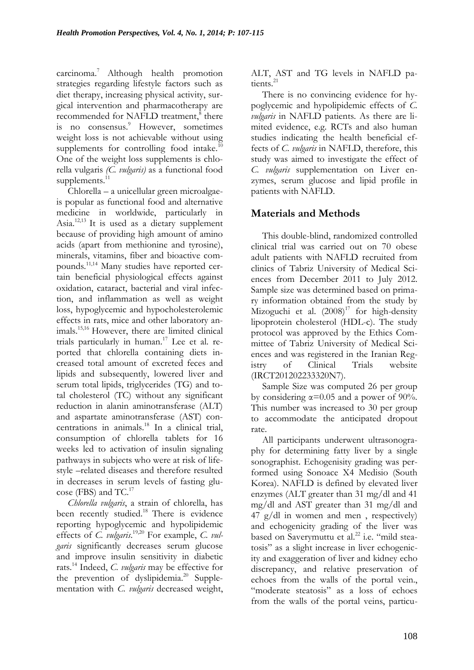carcinoma.<sup>7</sup> Although health promotion strategies regarding lifestyle factors such as diet therapy, increasing physical activity, surgical intervention and pharmacotherapy are recommended for NAFLD treatment,<sup>8</sup> there is no consensus. <sup>9</sup> However, sometimes weight loss is not achievable without using supplements for controlling food intake. $10$ One of the weight loss supplements is chlorella vulgaris *(C. vulgaris)* as a functional food supplements. $11$ 

Chlorella – a unicellular green microalgaeis popular as functional food and alternative medicine in worldwide, particularly in Asia.<sup>12,13</sup> It is used as a dietary supplement because of providing high amount of amino acids (apart from methionine and tyrosine), minerals, vitamins, fiber and bioactive compounds.11,14 Many studies have reported certain beneficial physiological effects against oxidation, cataract, bacterial and viral infection, and inflammation as well as weight loss, hypoglycemic and hypocholesterolemic effects in rats, mice and other laboratory animals.15,16 However, there are limited clinical trials particularly in human.<sup>17</sup> Lee et al. reported that chlorella containing diets increased total amount of excreted feces and lipids and subsequently, lowered liver and serum total lipids, triglycerides (TG) and total cholesterol (TC) without any significant reduction in alanin aminotransferase (ALT) and aspartate aminotransferase (AST) concentrations in animals. <sup>18</sup> In a clinical trial, consumption of chlorella tablets for 16 weeks led to activation of insulin signaling pathways in subjects who were at risk of lifestyle –related diseases and therefore resulted in decreases in serum levels of fasting glucose (FBS) and TC.<sup>17</sup>

*Chlorella vulgaris*, a strain of chlorella, has been recently studied.<sup>18</sup> There is evidence reporting hypoglycemic and hypolipidemic effects of *C. vulgaris*. 19,20 For example, *C. vulgaris* significantly decreases serum glucose and improve insulin sensitivity in diabetic rats.<sup>14</sup> Indeed, *C. vulgaris* may be effective for the prevention of dyslipidemia.<sup>20</sup> Supplementation with *C. vulgaris* decreased weight,

ALT, AST and TG levels in NAFLD patients.<sup>21</sup>

There is no convincing evidence for hypoglycemic and hypolipidemic effects of *C. vulgaris* in NAFLD patients. As there are limited evidence, e.g. RCTs and also human studies indicating the health beneficial effects of *C. vulgaris* in NAFLD, therefore, this study was aimed to investigate the effect of *C. vulgaris* supplementation on Liver enzymes, serum glucose and lipid profile in patients with NAFLD.

## **Materials and Methods**

This double-blind, randomized controlled clinical trial was carried out on 70 obese adult patients with NAFLD recruited from clinics of Tabriz University of Medical Sciences from December 2011 to July 2012. Sample size was determined based on primary information obtained from the study by Mizoguchi et al.  $(2008)^{17}$  for high-density lipoprotein cholesterol (HDL-c). The study protocol was approved by the Ethics Committee of Tabriz University of Medical Sciences and was registered in the Iranian Registry of Clinical Trials website (IRCT201202233320N7).

Sample Size was computed 26 per group by considering  $\alpha = 0.05$  and a power of 90%. This number was increased to 30 per group to accommodate the anticipated dropout rate.

All participants underwent ultrasonography for determining fatty liver by a single sonographist. Echogenisity grading was performed using Sonoace X4 Medisio (South Korea). NAFLD is defined by elevated liver enzymes (ALT greater than 31 mg/dl and 41 mg/dl and AST greater than 31 mg/dl and 47 g/dl in women and men , respectively) and echogenicity grading of the liver was based on Saverymuttu et al.<sup>22</sup> i.e. "mild steatosis" as a slight increase in liver echogenicity and exaggeration of liver and kidney echo discrepancy, and relative preservation of echoes from the walls of the portal vein., "moderate steatosis" as a loss of echoes from the walls of the portal veins, particu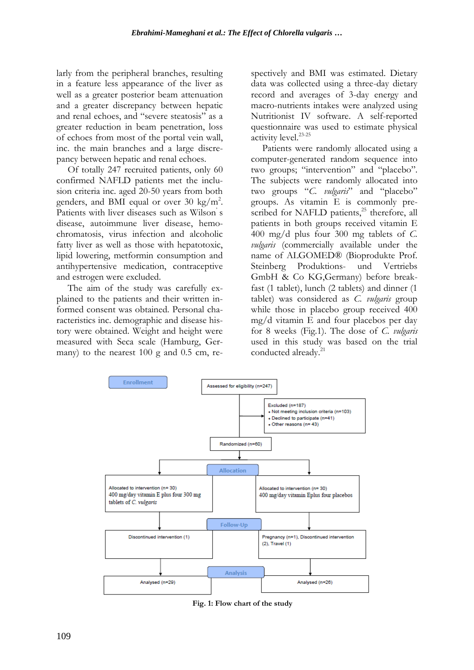larly from the peripheral branches, resulting in a feature less appearance of the liver as well as a greater posterior beam attenuation and a greater discrepancy between hepatic and renal echoes, and "severe steatosis" as a greater reduction in beam penetration, loss of echoes from most of the portal vein wall, inc. the main branches and a large discrepancy between hepatic and renal echoes.

Of totally 247 recruited patients, only 60 confirmed NAFLD patients met the inclusion criteria inc. aged 20-50 years from both genders, and BMI equal or over 30 kg/m<sup>2</sup>. Patients with liver diseases such as Wilson's disease, autoimmune liver disease, hemochromatosis, virus infection and alcoholic fatty liver as well as those with hepatotoxic, lipid lowering, metformin consumption and antihypertensive medication, contraceptive and estrogen were excluded.

The aim of the study was carefully explained to the patients and their written informed consent was obtained. Personal characteristics inc. demographic and disease history were obtained. Weight and height were measured with Seca scale (Hamburg, Germany) to the nearest 100 g and 0.5 cm, respectively and BMI was estimated. Dietary data was collected using a three-day dietary record and averages of 3-day energy and macro-nutrients intakes were analyzed using Nutritionist IV software. A self-reported questionnaire was used to estimate physical activity level.23-25

Patients were randomly allocated using a computer-generated random sequence into two groups; "intervention" and "placebo". The subjects were randomly allocated into two groups "*C. vulgaris*" and "placebo" groups. As vitamin E is commonly prescribed for NAFLD patients,<sup>25</sup> therefore, all patients in both groups received vitamin E 400 mg/d plus four 300 mg tablets of *C. vulgaris* (commercially available under the name of ALGOMED® (Bioprodukte Prof. Steinberg Produktions- und Vertriebs GmbH & Co KG,Germany) before breakfast (1 tablet), lunch (2 tablets) and dinner (1 tablet) was considered as *C. vulgaris* group while those in placebo group received 400 mg/d vitamin E and four placebos per day for 8 weeks (Fig.1). The dose of *C. vulgaris* used in this study was based on the trial conducted already. 21



**Fig. 1: Flow chart of the study**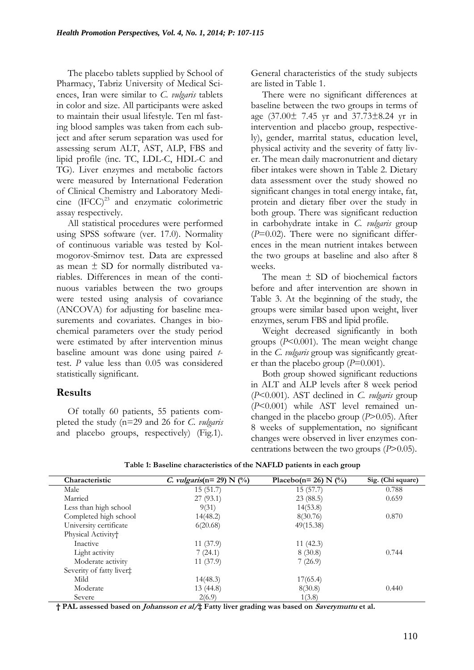The placebo tablets supplied by School of Pharmacy, Tabriz University of Medical Sciences, Iran were similar to *C. vulgaris* tablets in color and size. All participants were asked to maintain their usual lifestyle. Ten ml fasting blood samples was taken from each subject and after serum separation was used for assessing serum ALT, AST, ALP, FBS and lipid profile (inc. TC, LDL-C, HDL-C and TG). Liver enzymes and metabolic factors were measured by International Federation of Clinical Chemistry and Laboratory Medicine  $(IFCC)^{23}$  and enzymatic colorimetric assay respectively.

All statistical procedures were performed using SPSS software (ver. 17.0). Normality of continuous variable was tested by Kolmogorov-Smirnov test. Data are expressed as mean ± SD for normally distributed variables. Differences in mean of the continuous variables between the two groups were tested using analysis of covariance (ANCOVA) for adjusting for baseline measurements and covariates. Changes in biochemical parameters over the study period were estimated by after intervention minus baseline amount was done using paired *t*test. *P* value less than 0.05 was considered statistically significant.

## **Results**

Of totally 60 patients, 55 patients completed the study (n=29 and 26 for *C. vulgaris* and placebo groups, respectively) (Fig.1).

General characteristics of the study subjects are listed in Table 1.

There were no significant differences at baseline between the two groups in terms of age (37.00± 7.45 yr and 37.73±8.24 yr in intervention and placebo group, respectively), gender, marrital status, education level, physical activity and the severity of fatty liver. The mean daily macronutrient and dietary fiber intakes were shown in Table 2. Dietary data assessment over the study showed no significant changes in total energy intake, fat, protein and dietary fiber over the study in both group. There was significant reduction in carbohydrate intake in *C. vulgaris* group (*P*=0.02). There were no significant differences in the mean nutrient intakes between the two groups at baseline and also after 8 weeks.

The mean  $+$  SD of biochemical factors before and after intervention are shown in Table 3. At the beginning of the study, the groups were similar based upon weight, liver enzymes, serum FBS and lipid profile.

Weight decreased significantly in both groups (*P*<0.001). The mean weight change in the *C. vulgaris* group was significantly greater than the placebo group (*P*=0.001).

Both group showed significant reductions in ALT and ALP levels after 8 week period (*P*<0.001). AST declined in *C. vulgaris* group (*P*<0.001) while AST level remained unchanged in the placebo group (*P*>0.05). After 8 weeks of supplementation, no significant changes were observed in liver enzymes concentrations between the two groups (*P*>0.05).

| Characteristic                 | <i>C. vulgaris</i> ( $n = 29$ ) N (%) | Placebo(n= 26) N $(\frac{9}{0})$ | Sig. (Chi square) |
|--------------------------------|---------------------------------------|----------------------------------|-------------------|
| Male                           | 15(51.7)                              | 15(57.7)                         | 0.788             |
| Married                        | 27(93.1)                              | 23(88.5)                         | 0.659             |
| Less than high school          | 9(31)                                 | 14(53.8)                         |                   |
| Completed high school          | 14(48.2)                              | 8(30.76)                         | 0.870             |
| University certificate         | 6(20.68)                              | 49(15.38)                        |                   |
| Physical Activity <sup>+</sup> |                                       |                                  |                   |
| Inactive                       | 11(37.9)                              | 11(42.3)                         |                   |
| Light activity                 | 7(24.1)                               | 8(30.8)                          | 0.744             |
| Moderate activity              | 11(37.9)                              | 7(26.9)                          |                   |
| Severity of fatty liver‡       |                                       |                                  |                   |
| Mild                           | 14(48.3)                              | 17(65.4)                         |                   |
| Moderate                       | 13 (44.8)                             | 8(30.8)                          | 0.440             |
| Severe                         | 2(6.9)                                | 1(3.8)                           |                   |

**Table 1: Baseline characteristics of the NAFLD patients in each group**

**† PAL assessed based on Johansson et al/‡ Fatty liver grading was based on Saverymuttu et al.**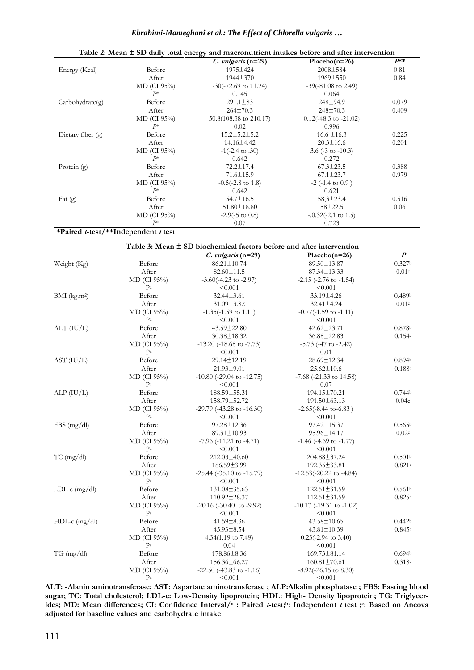## *Ebrahimi-Mameghani et al.: The Effect of Chlorella vulgaris …*

| $1$ able $2$ ; mean $\pm$ 5D daily total energy and macronutrient intakes before and after intervention |               |                              |                                  |          |  |
|---------------------------------------------------------------------------------------------------------|---------------|------------------------------|----------------------------------|----------|--|
|                                                                                                         |               | $C.$ vulgaris (n=29)         | Placebo $(n=26)$                 | $P^{**}$ |  |
| Energy (Kcal)                                                                                           | Before        | 1975 ± 424                   | $2008 \pm 584$                   | 0.81     |  |
|                                                                                                         | After         | $1944 \pm 370$               | 1969±550                         | 0.84     |  |
|                                                                                                         | $MD$ (CI 95%) | $-30(-72.69)$ to 11.24)      | $-39(-81.08 \text{ to } 2.49)$   |          |  |
|                                                                                                         | $P*$          | 0.145                        | 0.064                            |          |  |
| Carbohydrate(g)                                                                                         | Before        | $291.1 \pm 83$               | 248±94.9                         | 0.079    |  |
|                                                                                                         | After         | $264\pm70.3$                 | $248 \pm 70.3$                   | 0.409    |  |
|                                                                                                         | $MD$ (CI 95%) | 50.8(108.38 to 210.17)       | $0.12(-48.3 \text{ to } -21.02)$ |          |  |
|                                                                                                         | $P*$          | 0.02                         | 0.996                            |          |  |
| Dietary fiber $(g)$                                                                                     | Before        | $15.2 \pm 5.2 \pm 5.2$       | $16.6 \pm 16.3$                  | 0.225    |  |
|                                                                                                         | After         | 14.16±4.42                   | $20.3 \pm 16.6$                  | 0.201    |  |
|                                                                                                         | $MD$ (CI 95%) | $-1(-2.4 \text{ to } .30)$   | 3.6 ( $-3$ to $-10.3$ )          |          |  |
|                                                                                                         | $P*$          | 0.642                        | 0.272                            |          |  |
| Protein $(g)$                                                                                           | Before        | $72.2 \pm 17.4$              | $67.3 \pm 23.5$                  | 0.388    |  |
|                                                                                                         | After         | $71.6 \pm 15.9$              | $67.1 \pm 23.7$                  | 0.979    |  |
|                                                                                                         | $MD$ (CI 95%) | $-0.5(-2.8 \text{ to } 1.8)$ | $-2$ ( $-1.4$ to $0.9$ )         |          |  |
|                                                                                                         | $P*$          | 0.642                        | 0.621                            |          |  |
| Fat $(g)$                                                                                               | Before        | $54.7 \pm 16.5$              | $58,3 \pm 23.4$                  | 0.516    |  |
|                                                                                                         | After         | $51.80 \pm 18.80$            | $58 \pm 22.5$                    | 0.06     |  |
|                                                                                                         | MD (CI 95%)   | $-2.9(-5 \text{ to } 0.8)$   | $-.0.32(-2.1 \text{ to } 1.5)$   |          |  |
|                                                                                                         | $P*$          | 0.07                         | 0.723                            |          |  |

## **Table 2: Mean ± SD daily total energy and macronutrient intakes before and after intervention**

## **\*Paired t-test/\*\*Independent <sup>t</sup> test**

### **Table 3: Mean ± SD biochemical factors before and after intervention**

|                          |                   | $C.$ vulgaris (n=29)              | Placebo $(n=26)$                   | $\overline{P}$     |
|--------------------------|-------------------|-----------------------------------|------------------------------------|--------------------|
| Weight (Kg)              | Before            | 86.21±10.74                       | 89.50±13.87                        | 0.327 <sup>b</sup> |
|                          | After             | 82.60±11.5                        | 87.34±13.33                        | 0.01c              |
|                          | MD (CI 95%)       | $-3.60(-4.23 \text{ to } -2.97)$  | $-2.15$ ( $-2.76$ to $-1.54$ )     |                    |
|                          | Pa                | < 0.001                           | < 0.001                            |                    |
| BMI (kg.m <sup>2</sup> ) | Before            | $32.44 \pm 3.61$                  | 33.19±4.26                         | 0.489 <sup>b</sup> |
|                          | After             | $31.09 \pm 3.82$                  | $32.41 \pm 4.24$                   | 0.01c              |
|                          | $MD$ (CI $95\%$ ) | $-1.35(-1.59)$ to 1.11)           | $-0.77(-1.59)$ to $-1.11$ )        |                    |
|                          | Pa                | < 0.001                           | < 0.001                            |                    |
| $ALT$ (IU/L)             | Before            | 43.59±22.80                       | $42.62 \pm 23.71$                  | 0.878 <sup>b</sup> |
|                          | After             | 30.38±18.32                       | 36.88±22.83                        | 0.154c             |
|                          | MD (CI 95%)       | $-13.20$ ( $-18.68$ to $-7.73$ )  | $-5.73$ ( $-47$ to $-2.42$ )       |                    |
|                          | Pa                | < 0.001                           | 0.01                               |                    |
| AST (IU/L)               | Before            | 29.14±12.19                       | 28.69±12.34                        | 0.894 <sup>b</sup> |
|                          | After             | 21.93±9.01                        | $25.62 \pm 10.6$                   | 0.188c             |
|                          | $MD$ (CI $95\%$ ) | $-10.80$ ( $-29.04$ to $-12.75$ ) | $-7.68$ ( $-21.33$ to 14.58)       |                    |
|                          | Pa                | < 0.001                           | 0.07                               |                    |
| ALP (IU/L)               | Before            | 188.59±55.31                      | 194.15±70.21                       | 0.744 <sup>b</sup> |
|                          | After             | 158.79±52.72                      | $191.50 \pm 63.13$                 | 0.04c              |
|                          | MD (CI 95%)       | $-29.79$ ( $-43.28$ to $-16.30$ ) | $-2.65(-8.44 \text{ to } -6.83)$   |                    |
|                          | Pa                | < 0.001                           | < 0.001                            |                    |
| FBS(mg/dl)               | Before            | 97.28±12.36                       | 97.42±15.37                        | 0.565 <sup>b</sup> |
|                          | After             | 89.31±10.93                       | 95.96±14.17                        | 0.02c              |
|                          | MD (CI 95%)       | $-7.96$ ( $-11.21$ to $-4.71$ )   | $-1.46$ ( $-4.69$ to $-1.77$ )     |                    |
|                          | Pa                | < 0.001                           | < 0.001                            |                    |
| $TC$ (mg/dl)             | Before            | 212.03±40.60                      | 204.88±37.24                       | 0.501 <sub>b</sub> |
|                          | After             | 186.59±3.99                       | 192.35±33.81                       | 0.821c             |
|                          | $MD$ (CI $95\%$ ) | $-25.44$ ( $-35.10$ to $-15.79$ ) | $-12.53(-20.22 \text{ to } -4.84)$ |                    |
|                          | Pa                | < 0.001                           | < 0.001                            |                    |
| LDL-c $(mg/dl)$          | Before            | 131.08±35.63                      | $122.51 \pm 31.59$                 | 0.561 <sup>b</sup> |
|                          | After             | 110.92±28.37                      | $112.51 \pm 31.59$                 | 0.825c             |
|                          | MD (CI 95%)       | $-20.16$ ( $-30.40$ to $-9.92$ )  | $-10.17$ ( $-19.31$ to $-1.02$ )   |                    |
|                          | Pa                | < 0.001                           | < 0.001                            |                    |
| $HDL-c$ (mg/dl)          | Before            | $41.59 \pm 8.36$                  | 43.58±10.65                        | 0.442 <sub>b</sub> |
|                          | After             | $45.93 \pm 8.54$                  | $43.81 \pm 10.39$                  | 0.845c             |
|                          | MD (CI 95%)       | 4.34(1.19 to 7.49)                | $0.23(-2.94 \text{ to } 3.40)$     |                    |
|                          | Pa                | 0.04                              | < 0.001                            |                    |
| $TG \, (mg/dl)$          | Before            | 178.86±8.36                       | 169.73±81.14                       | 0.694 <sub>b</sub> |
|                          | After             | 156.36±66.27                      | $160.81 \pm 70.61$                 | 0.318c             |
|                          | MD (CI 95%)       | $-22.50$ ( $-43.83$ to $-1.16$ )  | $-8.92(-26.15 \text{ to } 8.30)$   |                    |
|                          | Pa                | < 0.001                           | < 0.001                            |                    |

**ALT: -Alanin aminotransferase; AST: Aspartate aminotransferase ; ALP:Alkalin phosphatase ; FBS: Fasting blood sugar; TC: Total cholesterol; LDL-c: Low-Density lipoprotein; HDL: High- Density lipoprotein; TG: Triglycerides; MD: Mean differences; CI: Confidence Interval/<sup>a</sup> : Paired t-test; <sup>b</sup>: Independent <sup>t</sup> test ;<sup>c</sup> : Based on Ancova adjusted for baseline values and carbohydrate intake**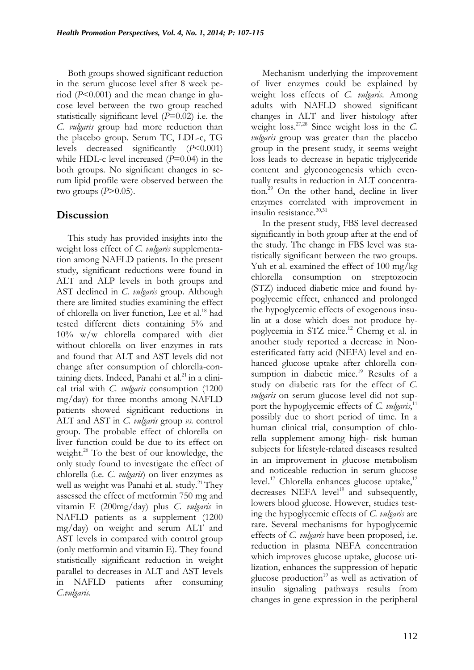Both groups showed significant reduction in the serum glucose level after 8 week period (*P*<0.001) and the mean change in glucose level between the two group reached statistically significant level (*P*=0.02) i.e. the *C. vulgaris* group had more reduction than the placebo group. Serum TC, LDL-c, TG levels decreased significantly (*P*<0.001) while HDL-c level increased (*P*=0.04) in the both groups. No significant changes in serum lipid profile were observed between the two groups  $(P>0.05)$ .

# **Discussion**

This study has provided insights into the weight loss effect of *C. vulgaris* supplementation among NAFLD patients. In the present study, significant reductions were found in ALT and ALP levels in both groups and AST declined in *C. vulgaris* group. Although there are limited studies examining the effect of chlorella on liver function, Lee et al.<sup>18</sup> had tested different diets containing 5% and 10% w/w chlorella compared with diet without chlorella on liver enzymes in rats and found that ALT and AST levels did not change after consumption of chlorella-containing diets. Indeed, Panahi et al. $^{21}$  in a clinical trial with *C. vulgaris* consumption (1200 mg/day) for three months among NAFLD patients showed significant reductions in ALT and AST in *C. vulgaris* group *vs.* control group. The probable effect of chlorella on liver function could be due to its effect on weight.<sup>26</sup> To the best of our knowledge, the only study found to investigate the effect of chlorella (i.e. *C. vulgaris*) on liver enzymes as well as weight was Panahi et al. study.<sup>21</sup> They assessed the effect of metformin 750 mg and vitamin E (200mg/day) plus *C. vulgaris* in NAFLD patients as a supplement (1200 mg/day) on weight and serum ALT and AST levels in compared with control group (only metformin and vitamin E). They found statistically significant reduction in weight parallel to decreases in ALT and AST levels in NAFLD patients after consuming *C.vulgaris.*

Mechanism underlying the improvement of liver enzymes could be explained by weight loss effects of *C. vulgaris*. Among adults with NAFLD showed significant changes in ALT and liver histology after weight loss. 27,28 Since weight loss in the *C. vulgaris* group was greater than the placebo group in the present study, it seems weight loss leads to decrease in hepatic triglyceride content and glyconeogenesis which eventually results in reduction in ALT concentration.<sup>29</sup> On the other hand, decline in liver enzymes correlated with improvement in insulin resistance.<sup>30,31</sup>

In the present study, FBS level decreased significantly in both group after at the end of the study. The change in FBS level was statistically significant between the two groups. Yuh et al. examined the effect of 100 mg/kg chlorella consumption on streptozocin (STZ) induced diabetic mice and found hypoglycemic effect, enhanced and prolonged the hypoglycemic effects of exogenous insulin at a dose which does not produce hypoglycemia in STZ mice.<sup>12</sup> Cherng et al. in another study reported a decrease in Nonesterificated fatty acid (NEFA) level and enhanced glucose uptake after chlorella consumption in diabetic mice.<sup>19</sup> Results of a study on diabetic rats for the effect of *C. vulgaris* on serum glucose level did not support the hypoglycemic effects of *C. vulgaris*,<sup>11</sup> possibly due to short period of time. In a human clinical trial, consumption of chlorella supplement among high- risk human subjects for lifestyle-related diseases resulted in an improvement in glucose metabolism and noticeable reduction in serum glucose level.<sup>17</sup> Chlorella enhances glucose uptake,<sup>12</sup> decreases NEFA level<sup>19</sup> and subsequently, lowers blood glucose. However, studies testing the hypoglycemic effects of *C. vulgaris* are rare. Several mechanisms for hypoglycemic effects of *C. vulgaris* have been proposed, i.e. reduction in plasma NEFA concentration which improves glucose uptake, glucose utilization, enhances the suppression of hepatic glucose production $19$  as well as activation of insulin signaling pathways results from changes in gene expression in the peripheral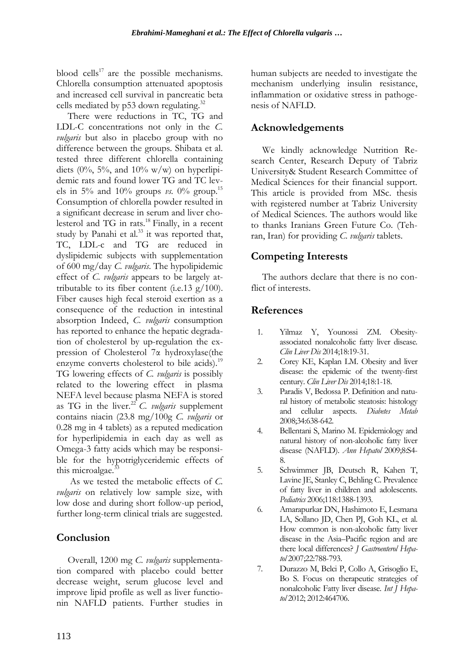blood cells<sup>17</sup> are the possible mechanisms. Chlorella consumption attenuated apoptosis and increased cell survival in pancreatic beta cells mediated by p53 down regulating.<sup>32</sup>

There were reductions in TC, TG and LDL-C concentrations not only in the *C. vulgaris* but also in placebo group with no difference between the groups. Shibata et al. tested three different chlorella containing diets (0%, 5%, and 10% w/w) on hyperlipidemic rats and found lower TG and TC levels in 5% and 10% groups *vs.* 0% group.<sup>15</sup> Consumption of chlorella powder resulted in a significant decrease in serum and liver cholesterol and TG in rats.<sup>18</sup> Finally, in a recent study by Panahi et al. $33$  it was reported that, TC, LDL-c and TG are reduced in dyslipidemic subjects with supplementation of 600 mg/day *C. vulgaris*. The hypolipidemic effect of *C. vulgaris* appears to be largely attributable to its fiber content (i.e.13  $g/100$ ). Fiber causes high fecal steroid exertion as a consequence of the reduction in intestinal absorption Indeed, *C. vulgaris* consumption has reported to enhance the hepatic degradation of cholesterol by up-regulation the expression of Cholesterol 7α hydroxylase(the enzyme converts cholesterol to bile acids).<sup>19</sup> TG lowering effects of *C. vulgaris* is possibly related to the lowering effect in plasma NEFA level because plasma NEFA is stored as TG in the liver.<sup>22</sup>*C. vulgaris* supplement contains niacin (23.8 mg/100g *C. vulgaris* or 0.28 mg in 4 tablets) as a reputed medication for hyperlipidemia in each day as well as Omega-3 fatty acids which may be responsible for the hypotriglyceridemic effects of this microalgae.<sup>3</sup>

As we tested the metabolic effects of *C. vulgaris* on relatively low sample size, with low dose and during short follow-up period, further long-term clinical trials are suggested.

## **Conclusion**

Overall, 1200 mg *C. vulgaris* supplementation compared with placebo could better decrease weight, serum glucose level and improve lipid profile as well as liver functionin NAFLD patients. Further studies in

human subjects are needed to investigate the mechanism underlying insulin resistance, inflammation or oxidative stress in pathogenesis of NAFLD.

# **Acknowledgements**

We kindly acknowledge Nutrition Research Center, Research Deputy of Tabriz University& Student Research Committee of Medical Sciences for their financial support. This article is provided from MSc. thesis with registered number at Tabriz University of Medical Sciences. The authors would like to thanks Iranians Green Future Co. (Tehran, Iran) for providing *C. vulgaris* tablets.

## **Competing Interests**

The authors declare that there is no conflict of interests.

## **References**

- 1. Yilmaz Y, Younossi ZM. Obesityassociated nonalcoholic fatty liver disease. *[Clin Liver Dis](http://www.ncbi.nlm.nih.gov/pubmed/?term=Obesity-associated+nonalcoholic+Fatty+liver+disease.+Yilmaz+Y%2C+Younossi+ZM.)* 2014;18:19-31.
- 2. [Corey KE,](http://www.ncbi.nlm.nih.gov/pubmed?term=Corey%20KE%5BAuthor%5D&cauthor=true&cauthor_uid=24274861) [Kaplan LM.](http://www.ncbi.nlm.nih.gov/pubmed?term=Kaplan%20LM%5BAuthor%5D&cauthor=true&cauthor_uid=24274861) Obesity and liver disease: the epidemic of the twenty-first century. *[Clin Liver Dis](http://www.ncbi.nlm.nih.gov/pubmed/?term=Obesity+and+liver+disease%3A+the+epidemic+of+the+twenty-first+century.+Corey+KE%2C+Kaplan+LM.)* 2014;18:1-18.
- 3. Paradis V, Bedossa P. Definition and natural history of metabolic steatosis: histology and cellular aspects. *Diabetes Metab* 2008;34:638-642.
- 4. Bellentani S, Marino M. Epidemiology and natural history of non-alcoholic fatty liver disease (NAFLD). *Ann Hepatol* 2009;8:S4- 8.
- 5. [Schwimmer JB,](http://www.ncbi.nlm.nih.gov/pubmed?term=Schwimmer%20JB%5BAuthor%5D&cauthor=true&cauthor_uid=17015527) [Deutsch R,](http://www.ncbi.nlm.nih.gov/pubmed?term=Deutsch%20R%5BAuthor%5D&cauthor=true&cauthor_uid=17015527) [Kahen T,](http://www.ncbi.nlm.nih.gov/pubmed?term=Kahen%20T%5BAuthor%5D&cauthor=true&cauthor_uid=17015527)  [Lavine JE,](http://www.ncbi.nlm.nih.gov/pubmed?term=Lavine%20JE%5BAuthor%5D&cauthor=true&cauthor_uid=17015527) [Stanley C,](http://www.ncbi.nlm.nih.gov/pubmed?term=Stanley%20C%5BAuthor%5D&cauthor=true&cauthor_uid=17015527) [Behling C.](http://www.ncbi.nlm.nih.gov/pubmed?term=Behling%20C%5BAuthor%5D&cauthor=true&cauthor_uid=17015527) Prevalence of fatty liver in children and adolescents. *Pediatrics* 2006;118:1388-1393.
- 6. Amarapurkar DN, Hashimoto E, Lesmana LA, Sollano JD, Chen PJ, Goh KL, et al. How common is non-alcoholic fatty liver disease in the Asia–Pacific region and are there local differences? *J Gastroenterol Hepatol* 2007;22:788-793.
- 7. Durazzo M, Belci P, Collo A, Grisoglio E, Bo S. Focus on therapeutic strategies of nonalcoholic Fatty liver disease. *Int J Hepatol* 2012; 2012:464706.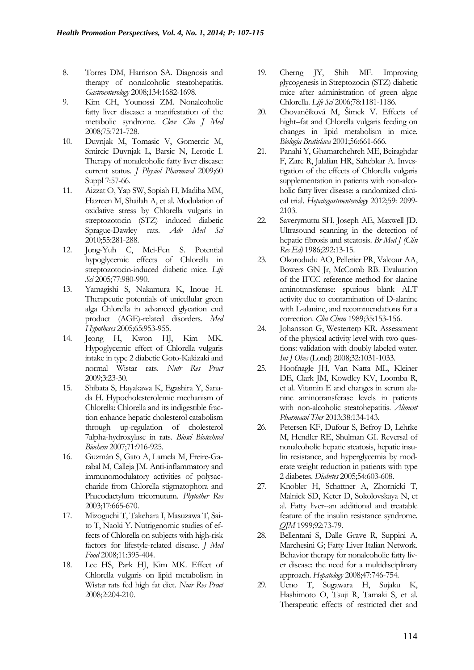- 8. Torres DM, Harrison SA. Diagnosis and therapy of nonalcoholic steatohepatitis. *Gastroenterology* 2008;134:1682-1698.
- 9. Kim CH, Younossi ZM. Nonalcoholic fatty liver disease: a manifestation of the metabolic syndrome. *Cleve Clin J Med* 2008;75:721-728.
- 10. Duvnjak M, Tomasic V, Gomercic M, Smircic Duvnjak L, Barsic N, Lerotic I. Therapy of nonalcoholic fatty liver disease: current status. *J Physiol Pharmacol* 2009;60 Suppl 7:57-66.
- 11. Aizzat O, Yap SW, Sopiah H, Madiha MM, Hazreen M, Shailah A, et al. Modulation of oxidative stress by Chlorella vulgaris in streptozotocin (STZ) induced diabetic Sprague-Dawley rats. *Adv Med Sci* 2010;55:281-288.
- 12. Jong-Yuh C, Mei-Fen S. Potential hypoglycemic effects of Chlorella in streptozotocin-induced diabetic mice. *Life Sci* 2005;77:980-990.
- 13. Yamagishi S, Nakamura K, Inoue H. Therapeutic potentials of unicellular green alga Chlorella in advanced glycation end product (AGE)-related disorders. *Med Hypotheses* 2005;65:953-955.
- 14. Jeong H, Kwon HJ, Kim MK. Hypoglycemic effect of Chlorella vulgaris intake in type 2 diabetic Goto-Kakizaki and normal Wistar rats. *Nutr Res Pract* 2009;3:23-30.
- 15. Shibata S, Hayakawa K, Egashira Y, Sanada H. Hypocholesterolemic mechanism of Chlorella: Chlorella and its indigestible fraction enhance hepatic cholesterol catabolism through up-regulation of cholesterol 7alpha-hydroxylase in rats. *Biosci Biotechnol Biochem* 2007;71:916-925.
- 16. Guzmán S, Gato A, Lamela M, Freire-Garabal M, Calleja JM. Anti-inflammatory and immunomodulatory activities of polysaccharide from Chlorella stigmatophora and Phaeodactylum tricornutum. *Phytother Res* 2003;17:665-670.
- 17. Mizoguchi T, Takehara I, Masuzawa T, Saito T, Naoki Y. Nutrigenomic studies of effects of Chlorella on subjects with high-risk factors for lifestyle-related disease. *J Med Food* 2008;11:395-404.
- 18. Lee HS, Park HJ, Kim MK. Effect of Chlorella vulgaris on lipid metabolism in Wistar rats fed high fat diet. *Nutr Res Pract* 2008;2:204-210.
- 19. Cherng JY, Shih MF. Improving glycogenesis in Streptozocin (STZ) diabetic mice after administration of green algae Chlorella. *Life Sci* 2006;78:1181-1186.
- 20. Chovančíková M, Šimek V. Effects of hight–fat and Chlorella vulgaris feeding on changes in lipid metabolism in mice. *Biologia Bratislava* 2001;56:661-666.
- 21. Panahi Y, Ghamarchehreh ME, Beiraghdar F, Zare R, Jalalian HR, Sahebkar A. Investigation of the effects of Chlorella vulgaris supplementation in patients with non-alcoholic fatty liver disease: a randomized clinical trial. *Hepatogastroenterology* 2012;59: 2099- 2103.
- 22. Saverymuttu SH, Joseph AE, Maxwell JD. Ultrasound scanning in the detection of hepatic fibrosis and steatosis. *Br Med J (Clin Res Ed)* 1986;292:13-15.
- 23. Okorodudu AO, Pelletier PR, Valcour AA, Bowers GN Jr, McComb RB. Evaluation of the IFCC reference method for alanine aminotransferase: spurious blank ALT activity due to contamination of D-alanine with L-alanine, and recommendations for a correction. *Clin Chem* 1989;35:153-156.
- 24. Johansson G, Westerterp KR. Assessment of the physical activity level with two questions: validation with doubly labeled water. *Int J Obes* (Lond) 2008;32:1031-1033.
- 25. Hoofnagle JH, Van Natta ML, Kleiner DE, Clark JM, Kowdley KV, Loomba R, et al. Vitamin E and changes in serum alanine aminotransferase levels in patients with non-alcoholic steatohepatitis. *Aliment Pharmacol Ther* 2013;38:134-143.
- 26. Petersen KF, Dufour S, Befroy D, Lehrke M, Hendler RE, Shulman GI. Reversal of nonalcoholic hepatic steatosis, hepatic insulin resistance, and hyperglycemia by moderate weight reduction in patients with type 2 diabetes. *Diabetes* 2005;54:603-608.
- 27. Knobler H, Schattner A, Zhornicki T, Malnick SD, Keter D, Sokolovskaya N, et al. Fatty liver--an additional and treatable feature of the insulin resistance syndrome. *QJM* 1999;92:73-79.
- 28. Bellentani S, Dalle Grave R, Suppini A, Marchesini G; Fatty Liver Italian Network. Behavior therapy for nonalcoholic fatty liver disease: the need for a multidisciplinary approach. *Hepatology* 2008;47:746-754.
- 29. Ueno T, Sugawara H, Sujaku K, Hashimoto O, Tsuji R, Tamaki S, et al. Therapeutic effects of restricted diet and